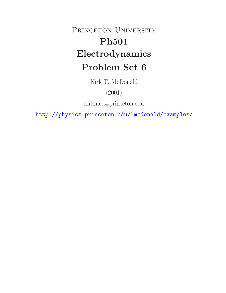# PRINCETON UNIVERSITY **Ph501 Electrodynamics Problem Set 6**

Kirk T. McDonald

(2001)

kirkmcd@princeton.edu

http://physics.princeton.edu/~mcdonald/examples/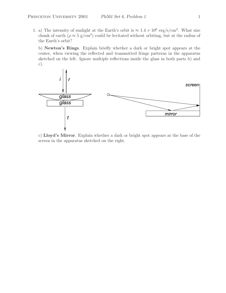1. a) The intensity of sunlight at the Earth's orbit is  $\approx 1.4 \times 10^6 \text{ erg/s/cm}^2$ . What size chunk of earth ( $\rho \approx 5 \text{ g/cm}^3$ ) could be levitated without orbiting, but at the radius of the Earth's orbit?

b) **Newton's Rings**. Explain briefly whether a dark or bright spot appears at the center, when viewing the reflected and transmitted fringe patterns in the apparatus sketched on the left. Ignore multiple reflections inside the glass in both parts b) and c).



c) **Lloyd's Mirror**. Explain whether a dark or bright spot appears at the base of the screen in the apparatus sketched on the right.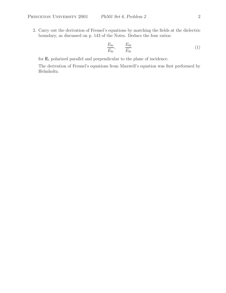2. Carry out the derivation of Fresnel's equations by matching the fields at the dielectric boundary, as discussed on p. 143 of the Notes. Deduce the four ratios:

$$
\frac{E_{0r}}{E_{0i}}, \qquad \frac{E_{0t}}{E_{0i}} \tag{1}
$$

for  $\mathbf{E}_i$  polarized parallel and perpendicular to the plane of incidence.

The derivation of Fresnel's equations from Maxwell's equation was first performed by Helmholtz.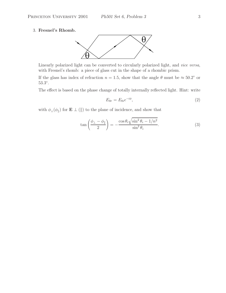### 3. **Fresnel's Rhomb.**



Linearly polarized light can be converted to circularly polarized light, and *vice versa*, with Fresnel's rhomb: a piece of glass cut in the shape of a rhombic prism.

If the glass has index of refraction  $n = 1.5$ , show that the angle  $\theta$  must be  $\approx 50.2^{\circ}$  or 53.3◦.

The effect is based on the phase change of totally internally reflected light. Hint: write

$$
E_{0r} = E_{0i}e^{-i\phi},\tag{2}
$$

with  $\phi_{\perp}(\phi_{\parallel})$  for **E**  $\perp$  (||) to the plane of incidence, and show that

$$
\tan\left(\frac{\phi_{\perp} - \phi_{\parallel}}{2}\right) = -\frac{\cos\theta_i\sqrt{\sin^2\theta_i - 1/n^2}}{\sin^2\theta_i}.
$$
\n(3)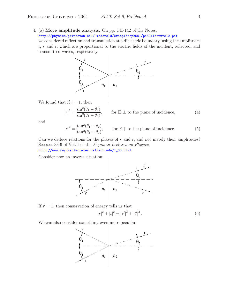4. (a) **More amplitude analysis.** On pp. 141-142 of the Notes, http://physics.princeton.edu/~mcdonald/examples/ph501/ph501lecture12.pdf we considered reflection and transmission at a dielectric boundary, using the amplitudes  $i, r$  and  $t$ , which are proportional to the electric fields of the incident, reflected, and transmitted waves, respectively.



We found that if  $i = 1$ , then

$$
|r|^2 = \frac{\sin^2(\theta_1 - \theta_2)}{\sin^2(\theta_1 + \theta_2)},
$$
 for **E**  $\perp$  to the plane of incidence, (4)

and

$$
|r|^2 = \frac{\tan^2(\theta_1 - \theta_2)}{\tan^2(\theta_1 + \theta_2)},
$$
 for **E** || to the plane of incidence. (5)

Can we deduce relations for the phases of  $r$  and  $t$ , and not merely their amplitudes? See sec. 33-6 of Vol. I of the *Feynman Lectures on Physics*,

http://www.feynmanlectures.caltech.edu/I\_33.html

Consider now an inverse situation:



If  $i'=1$ , then conservation of energy tells us that

$$
|r|^2 + |t|^2 = |r'|^2 + |t'|^2.
$$
 (6)

We can also consider something even more peculiar:

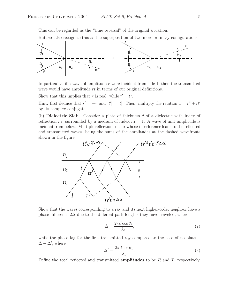This can be regarded as the "time reversal" of the original situation.

But, we also recognize this as the superposition of two more ordinary configurations:



In particular, if a wave of amplitude r were incident from side 1, then the transmitted wave would have amplitude  $rt$  in terms of our original definitions.

Show that this implies that r is real, while  $t' = t^*$ .

Hint: first deduce that  $r' = -r$  and  $|t'| = |t|$ . Then, multiply the relation  $1 = r^2 + tt'$ by its complex conjugate....

(b) **Dielectric Slab.** Consider a plate of thickness d of a dielectric with index of refraction  $n_2$ , surrounded by a medium of index  $n_1 = 1$ . A wave of unit amplitude is incident from below. Multiple reflections occur whose interference leads to the reflected and transmitted waves, being the sums of the amplitudes at the dashed wavefronts shown in the figure.



Show that the waves corresponding to a ray and its next higher-order neighbor have a phase difference  $2\Delta$  due to the different path lengths they have traveled, where

$$
\Delta = \frac{2\pi d \cos \theta_2}{\lambda_2},\tag{7}
$$

while the phase lag for the first transmitted ray compared to the case of no plate is  $\Delta - \Delta'$ , where

$$
\Delta' = \frac{2\pi d \cos \theta_1}{\lambda_1}.\tag{8}
$$

Define the total reflected and transmitted **amplitudes** to be  $R$  and  $T$ , respectively.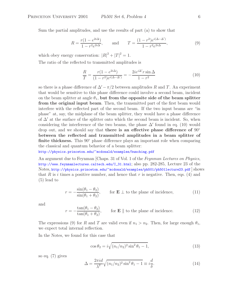Sum the partial amplitudes, and use the results of part (a) to show that

$$
R = \frac{r(1 - e^{2i\Delta})}{1 - r^2 e^{2i\Delta}}, \quad \text{and} \quad T = \frac{(1 - r^2)e^{i(\Delta - \Delta')}}{1 - r^2 e^{2i\Delta}},
$$
(9)

which obey energy conservation:  $|R|^2 + |T|^2 = 1$ .

The ratio of the reflected to transmitted amplitudes is

$$
\frac{R}{T} = \frac{r(1 - e^{2i\Delta})}{(1 - r^2)e^{i(\Delta - \Delta')}} = -\frac{2ie^{i\Delta'}r\sin\Delta}{1 - r^2}
$$
(10)

so there is a phase difference of  $\Delta' - \pi/2$  between amplitudes R and T. An experiment that would be sensitive to this phase difference could involve a second beam, incident on the beam splitter at angle  $\theta_1$ , but from the opposite side of the beam splitter **from the original input beam**. Then, the transmitted part of the first beam would interfere with the reflected part of the second beam. If the two input beams are "in phase" at, say, the midplane of the beam splitter, they would have a phase difference of  $\Delta'$  at the surface of the splitter onto which the second beam is incident. So, when considering the interference of the two beams, the phase  $\Delta'$  found in eq. (10) would drop out, and we should say that **there is an effective phase difference of** 90◦ **between the reflected and transmitted amplitudes in a beam splitter of finite thickness.** This 90° phase difference plays an important role when comparing the classical and quantum behavior of a beam splitter:

http://physics.princeton.edu/~mcdonald/examples/bunching.pdf

An argument due to Feynman [Chaps. 31 of Vol. 1 of the *Feynman Lectures on Physics*, http://www.feynmanlectures.caltech.edu/I\_31.html; also pp. 282-285, Lecture 23 of the Notes, http://physics.princeton.edu/~mcdonald/examples/ph501/ph501lecture23.pdf ] shows that R is i times a positive number, and hence that r is negative. Then, eqs. (4) and (5) lead to

$$
r = -\frac{\sin(\theta_1 - \theta_2)}{\sin(\theta_1 + \theta_2)}, \qquad \text{for } \mathbf{E} \perp \text{ to the plane of incidence,} \tag{11}
$$

and

$$
r = -\frac{\tan(\theta_1 - \theta_2)}{\tan(\theta_1 + \theta_2)}, \qquad \text{for } \mathbf{E} \parallel \text{ to the plane of incidence.} \tag{12}
$$

The expressions (9) for R and T are valid even if  $n_1 > n_2$ . Then, for large enough  $\theta_1$ , we expect total internal reflection.

In the Notes, we found for this case that

$$
\cos \theta_2 = i \sqrt{(n_1/n_2)^2 \sin^2 \theta_1 - 1},\tag{13}
$$

so eq. (7) gives

$$
\Delta = \frac{2\pi i d}{\lambda^2} \sqrt{(n_1/n_2)^2 \sin^2 \theta_1 - 1} \equiv i \frac{d}{\delta}.\tag{14}
$$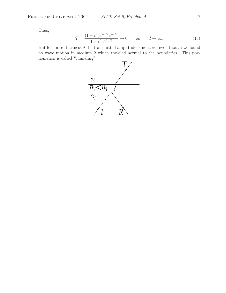Thus,

$$
T = \frac{(1 - r^2)e^{-d/\delta}e^{-i\Delta'}}{1 - r^2e^{-2d/\delta}} \to 0 \quad \text{as} \quad d \to \infty.
$$
 (15)

But for finite thickness  $d$  the transmitted amplitude is nonzero, even though we found no wave motion in medium 2 which traveled normal to the boundaries. This phenomenon is called "tunneling".

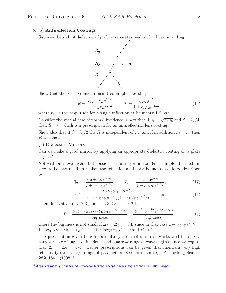# 5. (a) **Antireflection Coatings**

Suppose the slab of dielectric of prob. 4 separates media of indices  $n_1$  and  $n_3$ .



Show that the reflected and transmitted amplitudes obey

$$
R = \frac{r_{12} + r_{23}e^{2i\Delta}}{1 + r_{12}r_{23}e^{2i\Delta}}, \qquad T = \frac{t_{12}t_{23}e^{i\Delta}}{1 + r_{12}r_{23}e^{2i\Delta}},
$$
(16)

where  $r_{12}$  is the amplitude for a single reflection at boundary 1-2, *etc.* 

Consider the special case of normal incidence. Show that if  $n_2 = \sqrt{n_1 n_3}$  and  $d = \lambda_2/4$ , then  $R = 0$ , which is a prescription for an antireflection lens coating.

Show also that if  $d = \lambda_2/2$  the R is independent of  $n_2$ , and if in addition  $n_1 = n_3$  then R vanishes.

#### (b) **Dielectric Mirrors**

Can we make a good mirror by applying an appropriate dielectric coating on a plate of glass?

Not with only two layers, but consider a multilayer mirror. For example, if a medium 4 exists beyond medium 3, then the reflection at the 2-3 boundary could be described by

$$
R_{23} = \frac{r_{23} + r_{34}e^{2i\Delta_3}}{1 + r_{23}r_{34}e^{2i\Delta_3}}, \qquad T_{23} = \frac{t_{23}t_{34}e^{i\Delta_3}}{1 + r_{23}r_{34}e^{2i\Delta_3}},
$$
(17)

$$
\Rightarrow T = \frac{t_{12}t_{23}t_{34}e^{i(\Delta_2 + \Delta_3)}}{(1 + r_{23}r_{34}e^{2i\Delta_3})(1 + r_{12}R_{23}e^{2i\Delta_2})}, \qquad etc.
$$
 (18)

Then, for a stack of  $n$  2-3 pairs, 1-2-3-2-3-  $\cdots$  -3-2-1,

$$
T = \frac{t_{12}t_{23}t_{32}t_{23}\cdots t_{32}t_{21}e^{ni(\Delta_2 + \Delta_3)}}{\text{big mess}} = \frac{|t_{12}|^2|t_{23}|^{2n}e^{ni(\Delta_2 + \Delta_3)}}{\text{big mess}},\tag{19}
$$

where the big mess is not small if  $\Delta_2 = \Delta_3 = \pi/4$ , since in that case  $1 + r_{23}r_{32}e^{2i\Delta_3} =$  $1 + r_{23}^2$ , *etc.* Since  $|t_{23}|^{2n} \rightarrow 0$  for large  $n, T \rightarrow 0$  and  $R \rightarrow 1$ .

The prescription given here for a multilayer dielectric mirror works well for only a narrow range of angles of incidence and a narrow range of wavelengths, since we require that  $\Delta_2 = \Delta_3 = \pi/4$ . Better prescriptions can be given that maintain very high reflectivity over a large range of parameters. See, for example, J.P. Dowling, Science **282**, 1841, (1998).<sup>1</sup>

 $^1$ http://physics.princeton.edu/~mcdonald/examples/optics/dowling\_science\_282\_1841\_98.pdf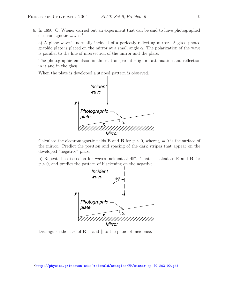6. In 1890, O. Wiener carried out an experiment that can be said to have photographed electromagnetic waves.<sup>2</sup>

a) A plane wave is normally incident of a perfectly reflecting mirror. A glass photographic plate is placed on the mirror at a small angle  $\alpha$ . The polarization of the wave is parallel to the line of intersection of the mirror and the plate.

The photographic emulsion is almost transparent – ignore attenuation and reflection in it and in the glass.

When the plate is developed a striped pattern is observed.



Calculate the electromagnetic fields **E** and **B** for  $y > 0$ , where  $y = 0$  is the surface of the mirror. Predict the position and spacing of the dark stripes that appear on the developed "negative" plate.

b) Repeat the discussion for waves incident at 45◦. That is, calculate **E** and **B** for  $y > 0$ , and predict the pattern of blackening on the negative.



Distinguish the case of  $E \perp$  and  $\parallel$  to the plane of incidence.

<sup>2</sup>http://physics.princeton.edu/~mcdonald/examples/EM/wiener\_ap\_40\_203\_90.pdf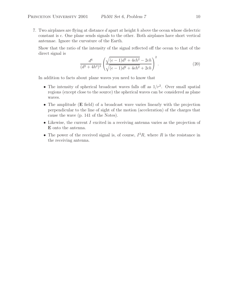7. Two airplanes are flying at distance d apart at height h above the ocean whose dielectric constant is  $\epsilon$ . One plane sends signals to the other. Both airplanes have short vertical antennae. Ignore the curvature of the Earth.

Show that the ratio of the intensity of the signal reflected off the ocean to that of the direct signal is

$$
\frac{d^6}{(d^2+4h^2)^3} \left( \frac{\sqrt{(\epsilon-1)d^2+4\epsilon h^2}-2\epsilon h}{\sqrt{(\epsilon-1)d^2+4\epsilon h^2}+2\epsilon h} \right)^2.
$$
 (20)

In addition to facts about plane waves you need to know that

- The intensity of spherical broadcast waves falls off as  $1/r^2$ . Over small spatial regions (except close to the source) the spherical waves can be considered as plane waves.
- The amplitude (**E** field) of a broadcast wave varies linearly with the projection perpendicular to the line of sight of the motion (acceleration) of the charges that cause the wave (p. 141 of the Notes).
- Likewise, the current  $I$  excited in a receiving antenna varies as the projection of **E** onto the antenna.
- The power of the received signal is, of course,  $I^2R$ , where R is the resistance in the receiving antenna.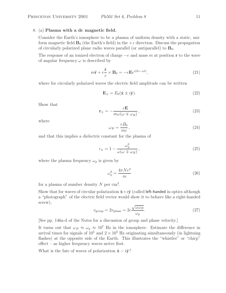#### 8. (a) **Plasma with a dc magnetic field.**

Consider the Earth's ionosphere to be a plasma of uniform density with a static, uniform magnetic field  $\mathbf{B}_0$  (the Earth's field) in the  $+z$  direction. Discuss the propagation of circularly polarized plane radio waves parallel (or antiparallel) to  $\mathbf{B}_0$ .

The response of an ionized electron of charge −e and mass m at position **r** to the wave of angular frequency  $\omega$  is described by

$$
m\ddot{\mathbf{r}} + e\frac{\dot{\mathbf{r}}}{c} \times \mathbf{B}_0 = -e\mathbf{E}e^{i(kz - \omega t)},\tag{21}
$$

where for circularly polarized waves the electric field amplitude can be written

$$
\mathbf{E}_{\pm} = E_0(\hat{\mathbf{x}} \pm i\hat{\mathbf{y}}). \tag{22}
$$

Show that

$$
\mathbf{r}_{\pm} = -\frac{e\mathbf{E}}{m\omega(\omega \mp \omega_B)},\tag{23}
$$

where

$$
\omega_B = \frac{eB_0}{mc},\tag{24}
$$

and that this implies a dielectric constant for the plasma of

$$
\epsilon_{\pm} = 1 - \frac{\omega_p^2}{\omega(\omega \mp \omega_B)},\tag{25}
$$

where the plasma frequency  $\omega_p$  is given by

$$
\omega_p^2 = \frac{4\pi Ne^2}{m} \tag{26}
$$

for a plasma of number density N per  $\mathrm{cm}^3$ .

Show that for waves of circular polarization  $\hat{\mathbf{x}}+i\hat{\mathbf{y}}$  (called left-handed in optics although a "photograph" of the electric field vector would show it to behave like a right-handed screw),

$$
v_{\text{group}} = 2v_{\text{phase}} = 2c \frac{\sqrt{\omega \omega_B}}{\omega_p}.
$$
 (27)

[See pp. 146a-d of the Notes for a discussion of group and phase velocity.]

It turns out that  $\omega_B \approx \omega_p \approx 10^7$  Hz in the ionosphere. Estimate the difference in arrival times for signals of  $10^5$  and  $2 \times 10^5$  Hz originating simultaneously (in lightning flashes) at the opposite side of the Earth. This illustrates the "whistler" or "chirp" effect – as higher frequency waves arrive first.

What is the fate of waves of polarization  $\hat{\mathbf{x}} - i\hat{\mathbf{y}}$ ?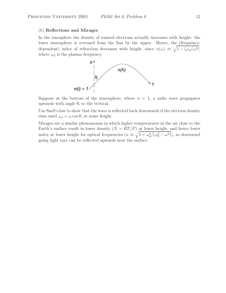### (b) **Reflections and Mirages**

In the ionosphere the density of ionized electrons actually increases with height: the lower atmosphere is screened from the Sun by the upper. Hence, the (frequencydependent) index of refraction decreases with height, since  $n(\omega) \approx \sqrt{1 - (\omega_p/\omega)^2}$ , where  $\omega_p$  is the plasma frequency.



upwards with angle  $\theta_i$  to the vertical.

Use Snell's law to show that the wave is reflected back downwards if the electron density rises until  $\omega_p = \omega \cos \theta_i$  at some height.

Mirages are a similar phenomenon in which higher temperatures in the air close to the Earth's surface result in lower density  $(N = RT/P)$  at lower height, and hence lower index at lower height for optical frequencies  $(n \approx \sqrt{1 + \omega_p^2/(\omega_0^2 - \omega^2)})$ , so downward going light rays can be reflected upwards near the surface.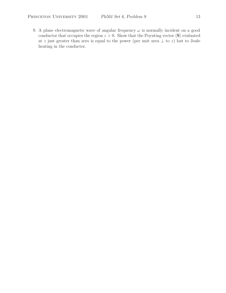9. A plane electromagnetic wave of angular frequency  $\omega$  is normally incident on a good conductor that occupies the region  $z > 0$ . Show that the Poynting vector  $\langle S \rangle$  evaluated at z just greater than zero is equal to the power (per unit area  $\perp$  to z) lost to Joule heating in the conductor.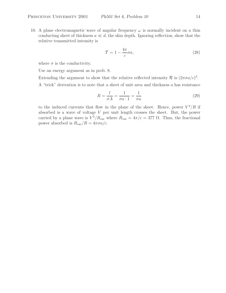10. A plane electromagnetic wave of angular frequency  $\omega$  is normally incident on a thin conducting sheet of thickness  $a \ll d$ , the skin depth. Ignoring reflection, show that the relative transmitted intensity is

$$
\mathcal{T} = 1 - \frac{4\pi}{c}\sigma a,\tag{28}
$$

where  $\sigma$  is the conductivity.

Use an energy argument as in prob. 8.

Extending the argument to show that the relative reflected intensity  $\mathcal R$  is  $(2\pi\sigma a/c)^2$ .

A "trick" derivation is to note that a sheet of unit area and thickness a has resistance

$$
R = \frac{l}{\sigma A} = \frac{1}{\sigma a \cdot 1} = \frac{1}{\sigma a} \tag{29}
$$

to the induced currents that flow in the plane of the sheet. Hence, power  $V^2/R$  if absorbed is a wave of voltage V per unit length crosses the sheet. But, the power carried by a plane wave is  $V^2/R_{\text{vac}}$  where  $R_{\text{vac}} = 4\pi/c = 377 \Omega$ . Thus, the fractional power absorbed is  $R_{\text{vac}}/R = 4\pi\sigma a/c$ .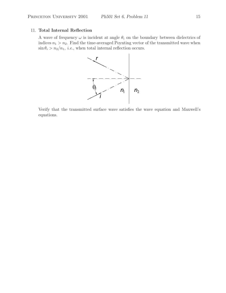# 11. **Total Internal Reflection**

A wave of frequency  $\omega$  is incident at angle  $\theta_i$  on the boundary between dielectrics of indices  $n_1 > n_2$ . Find the time-averaged Poynting vector of the transmitted wave when  $\sin \theta_i > n_2/n_1$ , *i.e.*, when total internal reflection occurs.



Verify that the transmitted surface wave satisfies the wave equation and Maxwell's equations.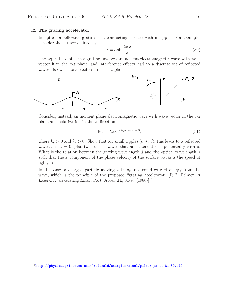### 12. **The grating accelerator**

In optics, a reflective grating is a conducting surface with a ripple. For example, consider the surface defined by

$$
z = a \sin \frac{2\pi x}{d}.\tag{30}
$$

The typical use of such a grating involves an incident electromagnetic wave with wave vector **k** in the x-z plane, and interference effects lead to a discrete set of reflected waves also with wave vectors in the  $x-z$  plane.



Consider, instead, an incident plane electromagnetic wave with wave vector in the  $y-z$ plane and polarization in the  $x$  direction:

$$
\mathbf{E}_{\rm in} = E_0 \hat{\mathbf{x}} e^{i(k_y y - k_z z - \omega t)},\tag{31}
$$

where  $k_y > 0$  and  $k_z > 0$ . Show that for small ripples  $(a \ll d)$ , this leads to a reflected wave as if  $a = 0$ , plus two surface waves that are attenuated exponentially with z. What is the relation between the grating wavelength d and the optical wavelength  $\lambda$ such that the x component of the phase velocity of the surface waves is the speed of light,  $c$ ?

In this case, a charged particle moving with  $v_x \approx c$  could extract energy from the wave, which is the principle of the proposed "grating accelerator" [R.B. Palmer, *A Laser-Driven Grating Linac*, Part. Accel. **11**, 81-90 (1980)].<sup>3</sup>

<sup>3</sup>http://physics.princeton.edu/~mcdonald/examples/accel/palmer\_pa\_11\_81\_80.pdf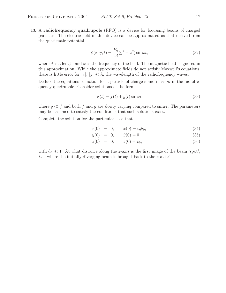13. A **radiofrequency quadrupole** (RFQ) is a device for focussing beams of charged particles. The electric field in this device can be approximated as that derived from the quasistatic potential

$$
\phi(x, y, t) = \frac{E_0}{2d}(y^2 - x^2)\sin \omega t,
$$
\n(32)

where d is a length and  $\omega$  is the frequency of the field. The magnetic field is ignored in this approximation. While the approximate fields do not satisfy Maxwell's equations, there is little error for  $|x|, |y| \ll \lambda$ , the wavelength of the radiofrequency waves.

Deduce the equations of motion for a particle of charge  $e$  and mass  $m$  in the radiofrequency quadrupole. Consider solutions of the form

$$
x(t) = f(t) + g(t)\sin \omega t \tag{33}
$$

where  $g \ll f$  and both f and g are slowly varying compared to  $\sin \omega t$ . The parameters may be assumed to satisfy the conditions that such solutions exist.

Complete the solution for the particular case that

$$
x(0) = 0, \t\dot{x}(0) = v_0 \theta_0, \t(34)
$$

$$
y(0) = 0, \t\t \dot{y}(0) = 0,\t\t (35)
$$

$$
z(0) = 0, \t\t \dot{z}(0) = v_0,
$$
\t\t (36)

with  $\theta_0 \ll 1$ . At what distance along the *z*-axis is the first image of the beam 'spot', *i.e.*, where the initially diverging beam is brought back to the *z*-axis?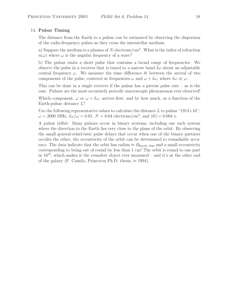# 14. **Pulsar Timing**

The distance from the Earth to a pulsar can be estimated by observing the dispersion of the radio-frequency pulses as they cross the interstellar medium.

a) Suppose the medium is a plasma of N electrons/ $\rm cm^3$ . What is the index of refraction  $n(\omega)$  where  $\omega$  is the angular frequency of a wave?

b) The pulsar emits a short pulse that contains a broad range of frequencies. We observe the pulse in a receiver that is tuned to a narrow band  $\delta\omega$  about an adjustable central frequency  $\omega$ . We measure the time difference  $\delta t$  between the arrival of two components of the pulse, centered at frequencies  $\omega$  and  $\omega + \delta \omega$ , where  $\delta \omega \ll \omega$ .

This can be done in a single receiver if the pulsar has a precise pulse rate  $-$  as is the case. Pulsars are the most accurately periodic macroscopic phenomenon ever observed!

Which component,  $\omega$  or  $\omega + \delta \omega$ , arrives first, and by how much, as a function of the Earth-pulsar distance L?

Use the following representative values to calculate the distance  $L$  to pulsar "1913+16":  $\omega = 2000 \text{ MHz}, \delta\omega/\omega = 0.01, N = 0.04 \text{ electrons/cm}^3, \text{ and } |\delta t| = 0.004 \text{ s}.$ 

A pulsar tidbit: Many pulsars occur in binary systems, including one such system where the direction to the Earth lies very close to the plane of the orbit. By observing the small general-relativistic pulse delays that occur when one of the binary partners occults the other, the eccentricity of the orbit can be determined to remarkable accuracy. The data indicate that the orbit has radius  $\approx R_{\text{Earth-Sun}}$  and a small eccentricity corresponding to being out of round by less than 1 cm! The orbit is round to one part in  $10^{13}$ , which makes it the roundest object ever measured – and it's at the other end of the galaxy (F. Camilo, Princeton Ph.D. thesis,  $\approx 1994$ ).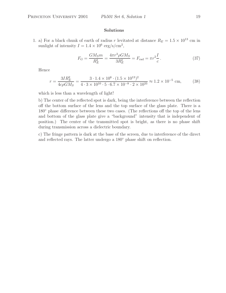#### **Solutions**

1. a) For a black chunk of earth of radius r levitated at distance  $R_E = 1.5 \times 10^{13}$  cm in sunlight of intensity  $I = 1.4 \times 10^6 \text{ erg/s/cm}^2$ ,

$$
F_G = \frac{GM_S m}{R_E^2} = \frac{4\pi r^3 \rho GM_S}{3R_E^2} = F_{\text{rad}} = \pi r^2 \frac{I}{c} \,. \tag{37}
$$

Hence

$$
r = \frac{3IR_E^2}{4c\rho GM_S} = \frac{3 \cdot 1.4 \times 10^6 \cdot (1.5 \times 10^{13})^2}{4 \cdot 3 \times 10^{10} \cdot 5 \cdot 6.7 \times 10^{-8} \cdot 2 \times 10^{33}} \approx 1.2 \times 10^{-5} \text{ cm},\tag{38}
$$

which is less than a wavelength of light!

b) The center of the reflected spot is dark, being the interference between the reflection off the bottom surface of the lens and the top surface of the glass plate. There is a 180◦ phase difference between these two cases. (The reflections off the top of the lens and bottom of the glass plate give a "background" intensity that is independent of position.) The center of the transmitted spot is bright, as there is no phase shift during transmission across a dielectric boundary.

c) The fringe pattern is dark at the base of the screen, due to interference of the direct and reflected rays. The latter undergo a 180◦ phase shift on reflection.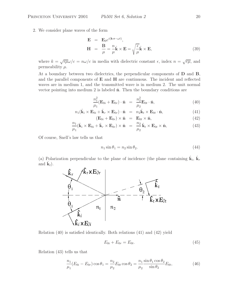2. We consider plane waves of the form

$$
\mathbf{E} = \mathbf{E}_0 e^{i(\mathbf{k} \cdot \mathbf{r} - \omega t)}, \n\mathbf{H} = \frac{\mathbf{B}}{\mu} = \frac{n}{\mu} \hat{\mathbf{k}} \times \mathbf{E} = \sqrt{\frac{\epsilon}{\mu}} \hat{\mathbf{k}} \times \mathbf{E},
$$
\n(39)

where  $k = \sqrt{\epsilon \mu} \omega/c = n\omega/c$  in media with dielectric constant  $\epsilon$ , index  $n = \sqrt{\epsilon \mu}$ , and permeability  $\mu$ .

At a boundary between two dielectrics, the perpendicular components of **D** and **B**, and the parallel components of **E** and **H** are continuous. The incident and reflected waves are in medium 1, and the transmitted wave is in medium 2. The unit normal vector pointing into medium 2 is labeled  $\hat{\bf{n}}$ . Then the boundary conditions are

$$
\frac{n_1^2}{\mu_1}(\mathbf{E}_{0i} + \mathbf{E}_{0r}) \cdot \hat{\mathbf{n}} = \frac{n_2^2}{\mu_2} \mathbf{E}_{0t} \cdot \hat{\mathbf{n}},
$$
\n(40)

$$
n_1(\hat{\mathbf{k}}_i \times \mathbf{E}_{0i} + \hat{\mathbf{k}}_r \times \mathbf{E}_{0r}) \cdot \hat{\mathbf{n}} = n_2 \hat{\mathbf{k}}_t \times \mathbf{E}_{0t} \cdot \hat{\mathbf{n}}, \tag{41}
$$

$$
(\mathbf{E}_{0i} + \mathbf{E}_{0r}) \times \hat{\mathbf{n}} = \mathbf{E}_{0t} \times \hat{\mathbf{n}}, \tag{42}
$$

$$
\frac{n_1}{\mu_1}(\hat{\mathbf{k}}_i \times \mathbf{E}_{0i} + \hat{\mathbf{k}}_r \times \mathbf{E}_{0r}) \times \hat{\mathbf{n}} = \frac{n_2}{\mu_2} \hat{\mathbf{k}}_t \times \mathbf{E}_{0t} \times \hat{\mathbf{n}},
$$
\n(43)

Of course, Snell's law tells us that

$$
n_1 \sin \theta_1 = n_2 \sin \theta_2. \tag{44}
$$

(a) Polarization perpendicular to the plane of incidence (the plane containing  $\hat{\mathbf{k}}_i$ ,  $\hat{\mathbf{k}}_r$ and  $\mathbf{k}_t$ ).



Relation (40) is satisfied identically. Both relations (41) and (42) yield

$$
E_{0i} + E_{0r} = E_{0t}.
$$
\n(45)

Relation (43) tells us that

$$
\frac{n_1}{\mu_1}(E_{0i} - E_{0r})\cos\theta_1 = \frac{n_2}{\mu_2}E_{0t}\cos\theta_2 = \frac{n_1}{\mu_2}\frac{\sin\theta_1\cos\theta_2}{\sin\theta_2}E_{0t},\tag{46}
$$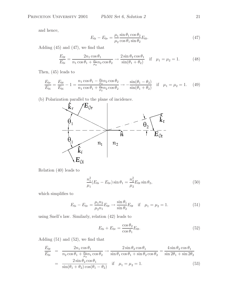and hence,

$$
E_{0i} - E_{0r} = \frac{\mu_1}{\mu_2} \frac{\sin \theta_1 \cos \theta_2}{\cos \theta_1 \sin \theta_2} E_{0t}.
$$
 (47)

Adding (45) and (47), we find that

$$
\frac{E_{0t}}{E_{0i}} = \frac{2n_1 \cos \theta_1}{n_1 \cos \theta_1 + \frac{\mu_1}{\mu_2} n_2 \cos \theta_2} \rightarrow \frac{2 \sin \theta_2 \cos \theta_1}{\sin(\theta_1 + \theta_2)} \quad \text{if} \quad \mu_1 = \mu_2 = 1. \tag{48}
$$

Then, (45) leads to

$$
\frac{E_{0r}}{E_{0i}} = \frac{E_{0t}}{E_{0i}} - 1 = \frac{n_1 \cos \theta_1 - \frac{\mu_1}{\mu_2} n_2 \cos \theta_2}{n_1 \cos \theta_1 + \frac{\mu_1}{\mu_2} n_2 \cos \theta_2} \rightarrow -\frac{\sin(\theta_1 - \theta_2)}{\sin(\theta_1 + \theta_2)} \quad \text{if} \quad \mu_1 = \mu_2 = 1. \tag{49}
$$



Relation (40) leads to

$$
\frac{n_1^2}{\mu_1}(E_{0i} - E_{0r})\sin\theta_1 = \frac{n_2^2}{\mu_2}E_{0t}\sin\theta_2,\tag{50}
$$

which simplifies to

$$
E_{0i} - E_{0r} = \frac{\mu_1 n_2}{\mu_2 n_1} E_{0t} \to \frac{\sin \theta_1}{\sin \theta_2} E_{0t} \quad \text{if} \quad \mu_1 = \mu_2 = 1. \tag{51}
$$

using Snell's law. Similarly, relation (42) leads to

$$
E_{0i} + E_{0r} = \frac{\cos \theta_2}{\cos \theta_1} E_{0t}.
$$
\n
$$
(52)
$$

Adding (51) and (52), we find that

$$
\frac{E_{0t}}{E_{0i}} = \frac{2n_1 \cos \theta_1}{n_2 \cos \theta_1 + \frac{\mu_1}{\mu_2} n_1 \cos \theta_2} \rightarrow \frac{2 \sin \theta_2 \cos \theta_1}{\sin \theta_1 \cos \theta_1 + \sin \theta_2 \cos \theta_2} = \frac{4 \sin \theta_2 \cos \theta_1}{\sin 2\theta_1 + \sin 2\theta_2}
$$
\n
$$
= \frac{2 \sin \theta_2 \cos \theta_1}{\sin(\theta_1 + \theta_2) \cos(\theta_1 - \theta_2)} \quad \text{if} \quad \mu_1 = \mu_2 = 1. \tag{53}
$$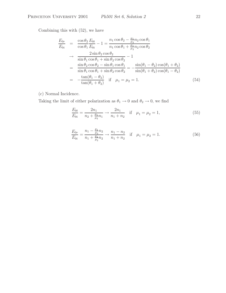Combining this with (52), we have

$$
\frac{E_{0r}}{E_{0i}} = \frac{\cos \theta_2}{\cos \theta_1} \frac{E_{0t}}{E_{0i}} - 1 = \frac{n_1 \cos \theta_2 - \frac{\mu_1}{\mu_2} n_2 \cos \theta_1}{n_1 \cos \theta_1 + \frac{\mu_1}{\mu_2} n_2 \cos \theta_2} \n\to \frac{2 \sin \theta_2 \cos \theta_2}{\sin \theta_1 \cos \theta_1 + \sin \theta_2 \cos \theta_2} - 1 \n= \frac{\sin \theta_2 \cos \theta_2 - \sin \theta_1 \cos \theta_1}{\sin \theta_1 \cos \theta_1 + \sin \theta_2 \cos \theta_2} = -\frac{\sin(\theta_1 - \theta_2) \cos(\theta_1 + \theta_2)}{\sin(\theta_1 + \theta_2) \cos(\theta_1 - \theta_2)} \n= -\frac{\tan(\theta_1 - \theta_2)}{\tan(\theta_1 + \theta_2)} \quad \text{if} \quad \mu_1 = \mu_2 = 1. \tag{54}
$$

(c) Normal Incidence.

Taking the limit of either polarization as  $\theta_1 \rightarrow 0$  and  $\theta_2 \rightarrow 0$ , we find

$$
\frac{E_{0t}}{E_{0i}} = \frac{2n_1}{n_2 + \frac{\mu_1}{\mu_2}n_1} \to \frac{2n_1}{n_1 + n_2} \quad \text{if} \quad \mu_1 = \mu_2 = 1,\tag{55}
$$

$$
\frac{E_{0r}}{E_{0i}} = \frac{n_1 - \frac{\mu_1}{\mu_2} n_2}{n_1 + \frac{\mu_1}{\mu_2} n_2} \to \frac{n_1 - n_2}{n_1 + n_2} \quad \text{if} \quad \mu_1 = \mu_2 = 1. \tag{56}
$$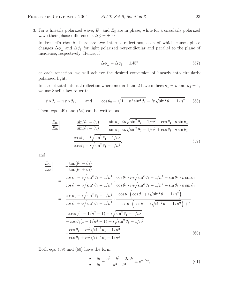3. For a linearly polarized wave,  $E_{\perp}$  and  $E_{\parallel}$  are in phase, while for a circularly polarized wave their phase difference is  $\Delta \phi = \pm 90^{\circ}$ .

In Fresnel's rhomb, there are two internal reflections, each of which causes phase changes  $\Delta\phi_{\perp}$  and  $\Delta\phi_{\parallel}$  for light polarized perpendicular and parallel to the plane of incidence, respectively. Hence, if

$$
\Delta\phi_{\perp} - \Delta\phi_{\parallel} = \pm 45^{\circ} \tag{57}
$$

at each reflection, we will achieve the desired conversion of linearly into circularly polarized light.

In case of total internal reflection where media 1 and 2 have indices  $n_1 = n$  and  $n_2 = 1$ , we use Snell's law to write

$$
\sin \theta_2 = n \sin \theta_1, \qquad \text{and} \qquad \cos \theta_2 = \sqrt{1 - n^2 \sin^2 \theta_1} = i n \sqrt{\sin^2 \theta_1 - 1/n^2}. \tag{58}
$$

Then, eqs. (49) and (54) can be written as

$$
\frac{E_{0r}}{E_{0i}}\Big|_{\perp} = -\frac{\sin(\theta_1 - \theta_2)}{\sin(\theta_1 + \theta_2)} = -\frac{\sin\theta_1 \cdot i n \sqrt{\sin^2\theta_1 - 1/n^2} - \cos\theta_1 \cdot n \sin\theta_1}{\sin\theta_1 \cdot i n \sqrt{\sin^2\theta_1 - 1/n^2} + \cos\theta_1 \cdot n \sin\theta_1}
$$
\n
$$
= \frac{\cos\theta_1 - i \sqrt{\sin^2\theta_1 - 1/n^2}}{\cos\theta_1 + i \sqrt{\sin^2\theta_1 - 1/n^2}},\tag{59}
$$

and

$$
\frac{E_{0r}}{E_{0i}}\Big|_{\parallel} = -\frac{\tan(\theta_1 - \theta_2)}{\tan(\theta_1 + \theta_2)}
$$
\n
$$
= \frac{\cos \theta_1 - i\sqrt{\sin^2 \theta_1 - 1/n^2}}{\cos \theta_1 + i\sqrt{\sin^2 \theta_1 - 1/n^2}} \cdot \frac{\cos \theta_1 \cdot i n\sqrt{\sin^2 \theta_1 - 1/n^2} - \sin \theta_1 \cdot n \sin \theta_1}{\cos \theta_1 + i\sqrt{\sin^2 \theta_1 - 1/n^2}} \cdot \frac{\cos \theta_1 \cdot i n\sqrt{\sin^2 \theta_1 - 1/n^2} + \sin \theta_1 \cdot n \sin \theta_1}{\cos \theta_1 + i\sqrt{\sin^2 \theta_1 - 1/n^2}} \cdot \frac{\cos \theta_1 \left(\cos \theta_1 + i\sqrt{\sin^2 \theta_1 - 1/n^2}\right) - 1}{-\cos \theta_1 \left(\cos \theta_1 - i\sqrt{\sin^2 \theta_1 - 1/n^2}\right) + 1}
$$
\n
$$
= \frac{\cos \theta_1 (1 - 1/n^2 - 1) + i\sqrt{\sin^2 \theta_1 - 1/n^2}}{-\cos \theta_1 (1 - 1/n^2 - 1) + i\sqrt{\sin^2 \theta_1 - 1/n^2}}
$$
\n
$$
= \frac{\cos \theta_1 - i n^2 \sqrt{\sin^2 \theta_1 - 1/n^2}}{\cos \theta_1 + i n^2 \sqrt{\sin^2 \theta_1 - 1/n^2}} \cdot \frac{(60)}{\cos \theta_1 + i n^2 \sqrt{\sin^2 \theta_1 - 1/n^2}}.
$$

Both eqs. (59) and (60) have the form

$$
\frac{a - ib}{a + ib} = \frac{a^2 - b^2 - 2iab}{a^2 + b^2} \equiv e^{-i\Delta\phi},
$$
\n(61)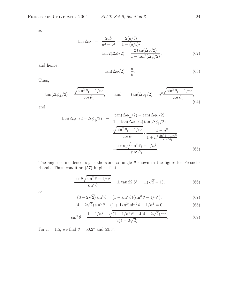so

$$
\tan \Delta \phi = \frac{2ab}{a^2 - b^2} = \frac{2(a/b)}{1 - (a/b)^2}
$$
  
= 
$$
\tan 2(\Delta \phi/2) = \frac{2 \tan(\Delta \phi/2)}{1 - \tan^2(\Delta \phi/2)},
$$
 (62)

and hence,

$$
\tan(\Delta\phi/2) = \frac{a}{b}.\tag{63}
$$

Thus,

$$
\tan(\Delta\phi_{\perp}/2) = \frac{\sqrt{\sin^2\theta_1 - 1/n^2}}{\cos\theta_1}, \quad \text{and} \quad \tan(\Delta\phi_{\parallel}/2) = n^2 \frac{\sqrt{\sin^2\theta_1 - 1/n^2}}{\cos\theta_1}, \tag{64}
$$

and

$$
\tan(\Delta\phi_{\perp}/2 - \Delta\phi_{\parallel}/2) = \frac{\tan(\Delta\phi_{\perp}/2) - \tan(\Delta\phi_{\parallel}/2)}{1 + \tan(\Delta\phi_{\perp}/2)\tan(\Delta\phi_{\parallel}/2)}
$$
  

$$
= \frac{\sqrt{\sin^2\theta_1 - 1/n^2}}{\cos\theta_1} \cdot \frac{1 - n^2}{1 + n^2 \frac{\sin^2\theta_1 - 1/n^2}{\cos^2\theta_1}}
$$
  

$$
= -\frac{\cos\theta_1\sqrt{\sin^2\theta_1 - 1/n^2}}{\sin^2\theta_1}.
$$
 (65)

The angle of incidence,  $\theta_1$ , is the same as angle  $\theta$  shown in the figure for Fresnel's rhomb. Thus, condition (57) implies that

$$
\frac{\cos \theta \sqrt{\sin^2 \theta - 1/n^2}}{\sin^2 \theta} = \pm \tan 22.5^\circ = \pm (\sqrt{2} - 1),\tag{66}
$$

or

$$
(3 - 2\sqrt{2})\sin^4\theta = (1 - \sin^2\theta)(\sin^2\theta - 1/n^2),\tag{67}
$$

$$
(4 - 2\sqrt{2})\sin^4\theta - (1 + 1/n^2)\sin^2\theta + 1/n^2 = 0,
$$
\n(68)

$$
\sin^2 \theta = \frac{1 + 1/n^2 \pm \sqrt{(1 + 1/n^2)^2 - 4(4 - 2\sqrt{2})/n^2}}{2(4 - 2\sqrt{2})}.
$$
\n(69)

For  $n = 1.5$ , we find  $\theta = 50.2^\circ$  and 53.3°.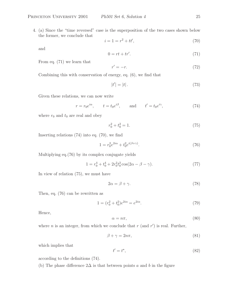4. (a) Since the "time reversed" case is the superposition of the two cases shown below the former, we conclude that

$$
i = 1 = r^2 + tt',
$$
\n(70)

and

$$
0 = rt + tr'.\tag{71}
$$

From eq. (71) we learn that

$$
r' = -r.\tag{72}
$$

Combining this with conservation of energy, eq. (6), we find that

$$
|t'| = |t|.\tag{73}
$$

Given these relations, we can now write

$$
r = r_0 e^{i\alpha}
$$
,  $t = t_0 e^{i\beta}$ , and  $t' = t_0 e^{i\gamma}$ , (74)

where  $r_0$  and  $t_0$  are real and obey

$$
r_0^2 + t_0^2 = 1.\t\t(75)
$$

Inserting relations (74) into eq. (70), we find

$$
1 = r_0^2 e^{2i\alpha} + t_0^2 e^{i(\beta + \gamma)}.
$$
\n
$$
(76)
$$

Multiplying eq.(76) by its complex conjugate yields

$$
1 = r_0^4 + t_0^4 + 2r_0^2 t_0^2 \cos(2\alpha - \beta - \gamma). \tag{77}
$$

In view of relation (75), we must have

$$
2\alpha = \beta + \gamma. \tag{78}
$$

Then, eq. (76) can be rewritten as

$$
1 = (r_0^2 + t_0^2)e^{2i\alpha} = e^{2i\alpha}.
$$
 (79)

Hence,

$$
\alpha = n\pi,\tag{80}
$$

where *n* is an integer, from which we conclude that  $r$  (and  $r'$ ) is real. Further,

$$
\beta + \gamma = 2n\pi,\tag{81}
$$

which implies that

$$
t' = t^*,\tag{82}
$$

according to the definitions (74).

(b) The phase difference  $2\Delta$  is that between points a and b in the figure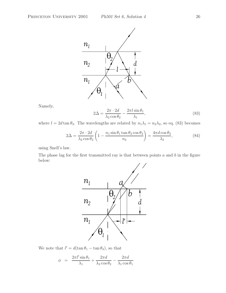

Namely,

$$
2\Delta = \frac{2\pi \cdot 2d}{\lambda_2 \cos \theta_2} - \frac{2\pi l \sin \theta_1}{\lambda_1},\tag{83}
$$

where  $l = 2d \tan \theta_2$ . The wavelengths are related by  $n_1 \lambda_1 = n_2 \lambda_2$ , so eq. (83) becomes

$$
2\Delta = \frac{2\pi \cdot 2d}{\lambda_2 \cos \theta_2} \left( 1 - \frac{n_1 \sin \theta_1 \tan \theta_2 \cos \theta_2}{n_2} \right) = \frac{4\pi d \cos \theta_2}{\lambda_2},\tag{84}
$$

using Snell's law.

The phase lag for the first transmitted ray is that between points  $a$  and  $b$  in the figure below:



We note that  $l' = d(\tan \theta_1 - \tan \theta_2)$ , so that

$$
\phi = \frac{2\pi l' \sin \theta_1}{\lambda_1} + \frac{2\pi d}{\lambda_2 \cos \theta_2} - \frac{2\pi d}{\lambda_1 \cos \theta_1}
$$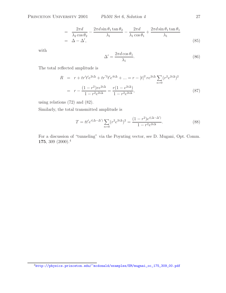$$
= \frac{2\pi d}{\lambda_2 \cos \theta_2} - \frac{2\pi d \sin \theta_1 \tan \theta_2}{\lambda_1} - \frac{2\pi d}{\lambda_1 \cos \theta_1} + \frac{2\pi d \sin \theta_1 \tan \theta_1}{\lambda_1}
$$
  
=  $\Delta - \Delta'$ , (85)

with

$$
\Delta' = \frac{2\pi d \cos \theta_1}{\lambda_1}.\tag{86}
$$

The total reflected amplitude is

$$
R = r + tr't'e^{2i\Delta} + tr'^3t'e^{4i\Delta} + \dots = r - |t|^2 re^{2i\Delta} \sum_{n=0} (r^2 e^{2i\Delta})^2
$$

$$
= r - \frac{(1 - r^2)re^{2i\Delta}}{1 - r^2 e^{2i\Delta}} = \frac{r(1 - e^{2i\Delta})}{1 - r^2 e^{2i\Delta}},
$$
(87)

using relations (72) and (82).

Similarly, the total transmitted amplitude is

$$
T = tt'e^{i(\Delta - \Delta')} \sum_{n=0} (r^2 e^{2i\Delta})^2 = \frac{(1 - r^2)e^{i(\Delta - \Delta')}}{1 - r^2 e^{2i\Delta}}.
$$
 (88)

For a discussion of "tunneling" via the Poynting vector, see D. Mugani, Opt. Comm. **175**, 309 (2000).<sup>4</sup>

<sup>4</sup>http://physics.princeton.edu/~mcdonald/examples/EM/mugnai\_oc\_175\_309\_00.pdf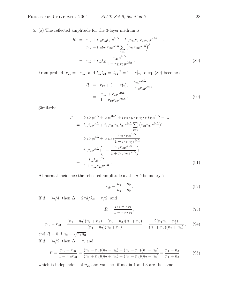5. (a) The reflected amplitude for the 3-layer medium is

$$
R = r_{12} + t_{12}r_{23}t_{21}e^{2i\Delta} + t_{12}r_{23}r_{21}r_{23}t_{21}e^{4i\Delta} + \dots
$$
  
\n
$$
= r_{12} + t_{12}t_{21}r_{23}e^{2i\Delta} \sum_{j=0}^{\infty} (r_{21}r_{23}e^{2i\Delta})^j
$$
  
\n
$$
= r_{12} + t_{12}t_{21} \frac{r_{23}e^{2i\Delta}}{1 - r_{21}r_{23}e^{2i\Delta}}.
$$
 (89)

From prob. 4,  $r_{21} = -r_{12}$ , and  $t_{12}t_{21} = |t_{12}|^2 = 1 - r_{12}^2$ , so eq. (89) becomes

$$
R = r_{12} + (1 - r_{12}^2) \frac{r_{23}e^{2i\Delta}}{1 + r_{12}r_{23}e^{2i\Delta}}
$$
  
= 
$$
\frac{r_{12} + r_{23}e^{2i\Delta}}{1 + r_{12}r_{23}e^{2i\Delta}}.
$$
 (90)

Similarly,

$$
T = t_{12}t_{23}e^{i\Delta} + t_{12}e^{3i\Delta} + t_{12}r_{23}r_{21}r_{23}r_{21}t_{23}e^{5i\Delta} + ...
$$
  
\n
$$
= t_{12}t_{23}e^{i\Delta} + t_{12}r_{23}r_{21}t_{23}e^{3i\Delta} \sum_{j=0}^{\infty} (r_{21}r_{23}e^{2i\Delta})^j
$$
  
\n
$$
= t_{12}t_{23}e^{i\Delta} + t_{12}t_{23}\frac{r_{21}r_{23}e^{3i\Delta}}{1 - r_{21}r_{23}e^{2i\Delta}}
$$
  
\n
$$
= t_{12}t_{23}e^{i\Delta} \left(1 - \frac{r_{12}r_{23}e^{2i\Delta}}{1 + r_{12}r_{23}e^{2i\Delta}}\right)
$$
  
\n
$$
= \frac{t_{12}t_{23}e^{i\Delta}}{1 + r_{12}r_{23}e^{2i\Delta}}.
$$
  
\n(91)

At normal incidence the reflected amplitude at the a-b boundary is

$$
r_{ab} = \frac{n_a - n_b}{n_a + n_b} \,. \tag{92}
$$

If  $d = \lambda_2/4$ , then  $\Delta = 2\pi d/\lambda_2 = \pi/2$ , and

$$
R = \frac{r_{12} - r_{23}}{1 - r_{12}r_{23}},
$$
\n(93)

$$
r_{12} - r_{23} = \frac{(n_1 - n_2)(n_2 + n_3) - (n_2 - n_3)(n_1 + n_2)}{(n_1 + n_2)(n_2 + n_3)} = \frac{2(n_1n_3 - n_2^2)}{(n_1 + n_2)(n_2 + n_3)},
$$
(94)

and  $R = 0$  if  $n_2 = \sqrt{n_1 n_3}$ . If  $d = \lambda_2/2$ , then  $\Delta = \pi$ , and

$$
R = \frac{r_{12} + r_{23}}{1 + r_{12}r_{23}} = \frac{(n_1 - n_2)(n_2 + n_3) + (n_2 - n_3)(n_1 + n_2)}{(n_1 + n_2)(n_2 + n_3) + (n_1 - n_2)(n_2 - n_3)} = \frac{n_1 - n_3}{n_1 + n_3},
$$
(95)

which is independent of  $n_2$ , and vanishes if media 1 and 3 are the same.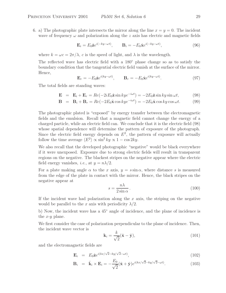6. a) The photographic plate intersects the mirror along the line  $x = y = 0$ . The incident wave of frequency  $\omega$  and polarization along the z axis has electric and magnetic fields

$$
\mathbf{E}_{i} = E_{0} \hat{\mathbf{z}} e^{i(-ky - \omega t)}, \qquad \mathbf{B}_{i} = -E_{0} \hat{\mathbf{x}} e^{i(-ky - \omega t)}, \tag{96}
$$

where  $k = \omega c = 2\pi/\lambda$ , c is the speed of light, and  $\lambda$  is the wavelength.

The reflected wave has electric field with a 180◦ phase change so as to satisfy the boundary condition that the tangential electric field vanish at the surface of the mirror. Hence,

$$
\mathbf{E}_r = -E_0 \hat{\mathbf{z}} e^{i(ky - \omega t)}, \qquad \mathbf{B}_r = -E_0 \hat{\mathbf{x}} e^{i(ky - \omega t)}.
$$
 (97)

The total fields are standing waves:

$$
\mathbf{E} = \mathbf{E}_i + \mathbf{E}_r = Re(-2iE_0\hat{\mathbf{z}}\sin kye^{-i\omega t}) = -2E_0\hat{\mathbf{z}}\sin ky\sin\omega t, \qquad (98)
$$

$$
\mathbf{B} = \mathbf{B}_i + \mathbf{B}_r = Re(-2E_0 \hat{\mathbf{x}} \cos kye^{-i\omega t}) = -2E_0 \hat{\mathbf{x}} \cos ky \cos \omega t.
$$
 (99)

The photographic plated is "exposed" by energy transfer between the electromagnetic fields and the emulsion. Recall that a magnetic field cannot change the energy of a charged particle, while an electric field can. We conclude that it is the electric field (98) whose spatial dependence will determine the pattern of exposure of the photograph. Since the electric field energy depends on  $E^2$ , the pattern of exposure will actually follow the time average  $\langle E^2 \rangle \propto \sin^2 k y \propto 1 - \cos 2ky$ .

We also recall that the developed photographic "negative" would be black everywhere if it were unexposed. Exposure due to strong electric fields will result in transparent regions on the negative. The blackest stripes on the negative appear where the electric field energy vanishes, *i.e.*, at  $y = n\lambda/2$ .

For a plate making angle  $\alpha$  to the x axis,  $y = s \sin \alpha$ , where distance s is measured from the edge of the plate in contact with the mirror. Hence, the black stripes on the negative appear at

$$
s = \frac{n\lambda}{2\sin\alpha} \,. \tag{100}
$$

If the incident wave had polarization along the  $x$  axis, the striping on the negative would be parallel to the x axis with periodicity  $\lambda/2$ .

b) Now, the incident wave has a 45◦ angle of incidence, and the plane of incidence is the  $x-y$  plane.

We first consider the case of polarization perpendicular to the plane of incidence. Then, the incident wave vector is

$$
\mathbf{k}_{i} = \frac{k}{\sqrt{2}} (\hat{\mathbf{x}} - \hat{\mathbf{y}}), \tag{101}
$$

and the electromagnetic fields are

$$
\mathbf{E}_i = E_0 \hat{\mathbf{z}} e^{i(kx/\sqrt{2}-ky/\sqrt{2}-\omega t)}, \qquad (102)
$$

$$
\mathbf{B}_{i} = \hat{\mathbf{k}}_{i} \times \mathbf{E}_{i} = -\frac{E_{0}}{\sqrt{2}} (\hat{\mathbf{x}} + \hat{\mathbf{y}}) e^{i(kx/\sqrt{2} - ky/\sqrt{2} - \omega t)}.
$$
 (103)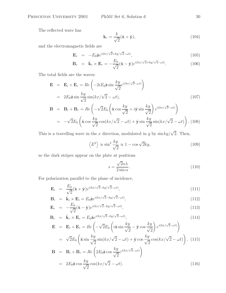The reflected wave has

$$
\mathbf{k}_r = \frac{k}{\sqrt{2}} (\hat{\mathbf{x}} + \hat{\mathbf{y}}),\tag{104}
$$

and the electromagnetic fields are

$$
\mathbf{E}_r = -E_0 \hat{\mathbf{z}} e^{i(kx/\sqrt{2}+ky/\sqrt{2}-\omega t)}, \qquad (105)
$$

$$
\mathbf{B}_r = \hat{\mathbf{k}}_r \times \mathbf{E}_r = -\frac{E_0}{\sqrt{2}} (\hat{\mathbf{x}} - \hat{\mathbf{y}}) e^{i(kx/\sqrt{2} + ky/\sqrt{2} - \omega t)}.
$$
 (106)

The total fields are the waves:

$$
\mathbf{E} = \mathbf{E}_i + \mathbf{E}_r = Re \left( -2iE_0 \hat{\mathbf{z}} \sin \frac{ky}{\sqrt{2}} e^{i(kx/\sqrt{2} - \omega t)} \right)
$$
  
\n
$$
= 2E_0 \hat{\mathbf{z}} \sin \frac{ky}{\sqrt{2}} \sin(kx/\sqrt{2} - \omega t),
$$
  
\n
$$
\mathbf{B} = \mathbf{B}_i + \mathbf{B}_r = Re \left( -\sqrt{2}E_0 \left( \hat{\mathbf{x}} \cos \frac{ky}{\sqrt{2}} + i \hat{\mathbf{y}} \sin \frac{ky}{\sqrt{2}} \right) e^{i(kx/\sqrt{2} - \omega t)} \right)
$$
  
\n
$$
= -\sqrt{2}E_0 \left( \hat{\mathbf{x}} \cos \frac{ky}{\sqrt{2}} \cos(kx/\sqrt{2} - \omega t) + \hat{\mathbf{y}} \sin \frac{ky}{\sqrt{2}} \sin(kx/\sqrt{2} - \omega t) \right).
$$
(108)

This is a travelling wave in the x direction, modulated in y by  $\sin ky/\sqrt{2}$ . Then,

$$
\left\langle E^2 \right\rangle \propto \sin^2 \frac{ky}{\sqrt{2}} \propto 1 - \cos \sqrt{2}ky,\tag{109}
$$

so the dark stripes appear on the plate at positions

$$
s = \frac{\sqrt{2}n\lambda}{2\sin\alpha} \,. \tag{110}
$$

For polarization parallel to the plane of incidence,

$$
\mathbf{E}_i = \frac{E_0}{\sqrt{2}} (\hat{\mathbf{x}} + \hat{\mathbf{y}}) e^{i(kx/\sqrt{2} - ky/\sqrt{2} - \omega t)}, \qquad (111)
$$

$$
\mathbf{B}_{i} = \hat{\mathbf{k}}_{i} \times \mathbf{E}_{i} = E_{0} \hat{\mathbf{z}} e^{i(kx/\sqrt{2} - ky/\sqrt{2} - \omega t)}, \qquad (112)
$$

$$
\mathbf{E}_r = -\frac{E_0}{\sqrt{2}} (\hat{\mathbf{x}} - \hat{\mathbf{y}}) e^{i(kx/\sqrt{2} - ky/\sqrt{2} - \omega t)}, \qquad (113)
$$

$$
\mathbf{B}_r = \hat{\mathbf{k}}_r \times \mathbf{E}_r = E_0 \hat{\mathbf{z}} e^{i(kx/\sqrt{2} - ky/\sqrt{2} - \omega t)},\tag{114}
$$

$$
\mathbf{E} = \mathbf{E}_i + \mathbf{E}_r = Re\left(-\sqrt{2}E_0\left(i\hat{\mathbf{x}}\sin\frac{ky}{\sqrt{2}} - \hat{\mathbf{y}}\cos\frac{ky}{\sqrt{2}}\right)e^{i(kx/\sqrt{2}-\omega t)}\right)
$$
  
\n
$$
= \sqrt{2}E_0\left(\hat{\mathbf{x}}\sin\frac{ky}{\sqrt{2}}\sin(kx/\sqrt{2}-\omega t) + \hat{\mathbf{y}}\cos\frac{ky}{\sqrt{2}}\cos(kx/\sqrt{2}-\omega t)\right), (115)
$$
  
\n
$$
\mathbf{B} = \mathbf{B}_i + \mathbf{B}_r = Re\left(2E_0\hat{\mathbf{z}}\cos\frac{ky}{\sqrt{2}}e^{i(kx/\sqrt{2}-\omega t)}\right)
$$

$$
= 2E_0 \hat{\mathbf{z}} \cos \frac{ky}{\sqrt{2}} \cos(kx/\sqrt{2} - \omega t). \tag{116}
$$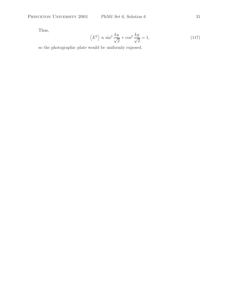Thus,

$$
\left\langle E^2 \right\rangle \propto \sin^2 \frac{ky}{\sqrt{2}} + \cos^2 \frac{ky}{\sqrt{2}} = 1,\tag{117}
$$

so the photographic plate would be uniformly exposed.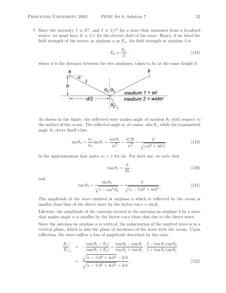7. Since the intensity  $I \propto E^2$ , and  $I \propto 1/r^2$  for a wave that emanates from a localized source, we must have  $E \propto 1/r$  for the electric field of the wave. Hence, if we label the field strength of the source at airplane  $a$  as  $E_a$ , the field strength at airplane  $b$  is

$$
E_b = \frac{E_a}{d},\tag{118}
$$

where d is the distance between the two airplanes, taken to be at the same height  $h$ .



As shown in the figure, the reflected wave makes angle of incident  $\theta_1$  with respect to the surface of the ocean. The reflected angle is, of course, also  $\theta_1$ , while the transmitted angle  $\theta_2$  obeys Snell's law,

$$
\sin \theta_2 = \frac{n_1}{n_2} \sin \theta_1 = \frac{\sin \theta_1}{\sqrt{\epsilon}} = \frac{d/2l}{\sqrt{\epsilon}} = \frac{d}{\sqrt{\epsilon(d^2 + 4h^2)}},\tag{119}
$$

in the approximation that index  $n_1 = 1$  for air. For later use, we note that

$$
\tan \theta_1 = \frac{d}{2h},\tag{120}
$$

and

$$
\tan \theta_2 = \frac{\sin \theta_2}{\sqrt{1 - \sin^2 \theta_2}} = \frac{d}{\sqrt{(\epsilon - 1)d^2 + 4\epsilon h^2}}.
$$
\n(121)

The amplitude of the wave emitted at airplane a which is reflected by the ocean is smaller than that of the direct wave by the factor  $\cos \alpha = \sin \theta_1$ .

Likewise, the amplitude of the currents excited in the antenna on airplane b by a wave that makes angle  $\alpha$  is smaller by the factor cos  $\alpha$  than that due to the direct wave.

Since the antenna on airplane  $\alpha$  is vertical, the polarization of the emitted wave is in a vertical plane, which is also the plane of incidence of the wave with the ocean. Upon reflection, the wave suffers a loss of amplitude described by the ratio

$$
\frac{E_r}{E_i}\Big|_{\parallel} = -\frac{\tan(\theta_1 - \theta_2)}{\tan(\theta_1 + \theta_2)} = \frac{\tan\theta_2 - \tan\theta_1}{\tan\theta_2 + \tan\theta_1} \cdot \frac{1 - \tan\theta_1 \tan\theta_2}{1 + \tan\theta_1 \tan\theta_2}
$$
\n
$$
= \frac{\sqrt{(\epsilon - 1)d^2 + 4\epsilon h^2} - 2\epsilon h}{\sqrt{(\epsilon - 1)d^2 + 4\epsilon h^2} + 2\epsilon h},
$$
\n(122)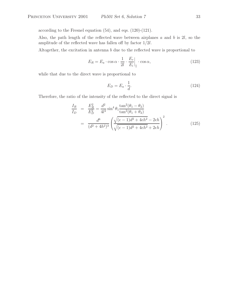according to the Fresnel equation (54), and eqs. (120)-(121).

Also, the path length of the reflected wave between airplanes  $a$  and  $b$  is  $2l$ , so the amplitude of the reflected wave has fallen off by factor 1/2l.

Altogether, the excitation in antenna b due to the reflected wave is proportional to

$$
E_R = E_a \cdot \cos \alpha \cdot \frac{1}{2l} \cdot \frac{E_r}{E_i} \Big|_{\parallel} \cdot \cos \alpha, \qquad (123)
$$

while that due to the direct wave is proportional to

$$
E_D = E_a \cdot \frac{1}{d}.\tag{124}
$$

Therefore, the ratio of the intensity of the reflected to the direct signal is

$$
\frac{I_R}{I_D} = \frac{E_R^2}{E_D^2} = \frac{d^2}{4l^2} \sin^4 \theta_1 \frac{\tan^2(\theta_1 - \theta_2)}{\tan^2(\theta_1 + \theta_2)}
$$
\n
$$
= \frac{d^6}{(d^2 + 4h^2)^3} \left( \frac{\sqrt{(\epsilon - 1)d^2 + 4\epsilon h^2} - 2\epsilon h}{\sqrt{(\epsilon - 1)d^2 + 4\epsilon h^2} + 2\epsilon h} \right)^2.
$$
\n(125)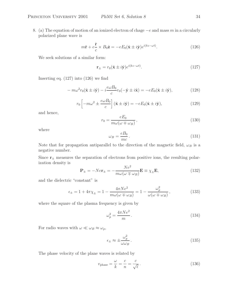$$
m\ddot{\mathbf{r}} + e^{\dot{\mathbf{r}}}_{c} \times B_{0}\hat{\mathbf{z}} = -eE_{0}(\hat{\mathbf{x}} \pm i\hat{\mathbf{y}})e^{i(kz - \omega t)}.
$$
 (126)

We seek solutions of a similar form:

$$
\mathbf{r}_{\pm} = r_0(\hat{\mathbf{x}} \pm i\hat{\mathbf{y}})e^{i(kz - \omega t)}.
$$
 (127)

Inserting eq. (127) into (126) we find

$$
-m\omega^2 r_0(\hat{\mathbf{x}} \pm i\hat{\mathbf{y}}) - i\frac{e\omega B_0}{c}r_0(-\hat{\mathbf{y}} \pm i\hat{\mathbf{x}}) = -eE_0(\hat{\mathbf{x}} \pm i\hat{\mathbf{y}}),\tag{128}
$$

$$
r_0 \left[ -m\omega^2 \pm \frac{e\omega B_0}{c} \right] (\hat{\mathbf{x}} \pm i\hat{\mathbf{y}}) = -eE_0(\hat{\mathbf{x}} \pm i\hat{\mathbf{y}}), \tag{129}
$$

and hence,

$$
r_0 = \frac{eE_0}{m\omega(\omega \mp \omega_B)},
$$
\n(130)

where

$$
\omega_B = \frac{eB_0}{mc} \,. \tag{131}
$$

Note that for propagation antiparallel to the direction of the magnetic field,  $\omega_B$  is a negative number.

Since  $\mathbf{r}_{\pm}$  measures the separation of electrons from positive ions, the resulting polarization density is

$$
\mathbf{P}_{\pm} = -N e \mathbf{r}_{\pm} = -\frac{N e^2}{m \omega (\omega \mp \omega_B)} \mathbf{E} \equiv \chi_{\pm} \mathbf{E}, \qquad (132)
$$

and the dielectric "constant" is

$$
\epsilon_{\pm} = 1 + 4\pi \chi_{\pm} = 1 - \frac{4\pi Ne^2}{m\omega(\omega \mp \omega_B)} = 1 - \frac{\omega_p^2}{\omega(\omega \mp \omega_B)},
$$
(133)

where the square of the plasma frequency is given by

$$
\omega_p^2 = \frac{4\pi Ne^2}{m} \,. \tag{134}
$$

For radio waves with  $\omega \ll \omega_B \approx \omega_p$ ,

$$
\epsilon_{\pm} \approx \pm \frac{\omega_p^2}{\omega \omega_B} \,. \tag{135}
$$

The phase velocity of the plane waves is related by

$$
v_{\text{phase}} = \frac{\omega}{k} = \frac{c}{n} = \frac{c}{\sqrt{\epsilon}}.
$$
\n(136)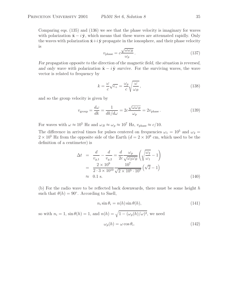Comparing eqs. (135) and (136) we see that the phase velocity is imaginary for waves with polarization  $\hat{\mathbf{x}} - i \hat{\mathbf{y}}$ , which means that these waves are attenuated rapidly. Only the waves with polarization  $\hat{\mathbf{x}}+i\hat{\mathbf{y}}$  propagate in the ionosphere, and their phase velocity is

$$
v_{\text{phase}} = c \frac{\sqrt{\omega \omega_B}}{\omega_p} \,. \tag{137}
$$

*For propagation opposite to the direction of the magnetic field, the situation is reversed, and only wave with polarization*  $\hat{\mathbf{x}} - i\hat{\mathbf{y}}$  *survive.* For the surviving waves, the wave vector is related to frequency by

$$
k = \frac{\omega}{c}\sqrt{\epsilon_{+}} = \frac{\omega_{p}}{c}\sqrt{\frac{\omega}{\omega_{B}}},\qquad(138)
$$

and so the group velocity is given by

$$
v_{\text{group}} = \frac{d\omega}{dk} = \frac{1}{dk/d\omega} = 2c \frac{\sqrt{\omega\omega_B}}{\omega_p} = 2v_{\text{phase}}.
$$
 (139)

For waves with  $\omega \approx 10^5$  Hz and  $\omega_B \approx \omega_p \approx 10^7$  Hz,  $v_{\text{phase}} \approx c/10$ .

The difference in arrival times for pulses centered on frequencies  $\omega_1 = 10^5$  and  $\omega_2 =$  $2 \times 10^5$  Hz from the opposite side of the Earth  $(d = 2 \times 10^9$  cm, which used to be the definition of a centimeter) is

$$
\Delta t = \frac{d}{v_{g,1}} - \frac{d}{v_{g,2}} = \frac{d}{2c} \frac{\omega_p}{\sqrt{\omega_2 \omega_B}} \left( \sqrt{\frac{\omega_2}{\omega_1}} - 1 \right)
$$
  
= 
$$
\frac{2 \times 10^9}{2 \cdot 3 \times 10^{10}} \frac{10^7}{\sqrt{2 \times 10^5 \cdot 10^7}} \left( \sqrt{2} - 1 \right)
$$
  
\approx 0.1 s. (140)

(b) For the radio wave to be reflected back downwards, there must be some height  $h$ such that  $\theta(h) = 90^\circ$ . According to Snell,

$$
n_i \sin \theta_i = n(h) \sin \theta(h), \tag{141}
$$

so with  $n_i = 1$ ,  $\sin \theta(h) = 1$ , and  $n(h) = \sqrt{1 - (\omega_p(h)/\omega)^2}$ , we need

$$
\omega_p(h) = \omega \cos \theta_i. \tag{142}
$$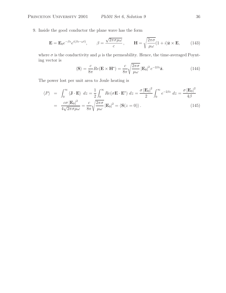9. Inside the good conductor the plane wave has the form

$$
\mathbf{E} = \mathbf{E}_0 e^{-\beta z} e^{i(\beta z - \omega t)}, \qquad \beta = \frac{\sqrt{2\pi \sigma \mu \omega}}{c}, \qquad \mathbf{H} = \sqrt{\frac{2\pi \sigma}{\mu \omega}} (1 + i) \hat{\mathbf{z}} \times \mathbf{E}, \qquad (143)
$$

where  $\sigma$  is the conductivity and  $\mu$  is the permeability. Hence, the time-averaged Poynting vector is

$$
\langle \mathbf{S} \rangle = \frac{c}{8\pi} Re(\mathbf{E} \times \mathbf{H}^*) = \frac{c}{8\pi} \sqrt{\frac{2\pi\sigma}{\mu \omega}} |\mathbf{E}_0|^2 e^{-2\beta z} \hat{\mathbf{z}}.
$$
 (144)

The power lost per unit area to Joule heating is

$$
\langle P \rangle = \int_0^\infty \langle \mathbf{J} \cdot \mathbf{E} \rangle dz = \frac{1}{2} \int_0^\infty Re(\sigma \mathbf{E} \cdot \mathbf{E}^*) dz = \frac{\sigma |\mathbf{E}_0|^2}{2} \int_0^\infty e^{-2\beta z} dz = \frac{\sigma |\mathbf{E}_0|^2}{4\beta}
$$

$$
= \frac{c\sigma |\mathbf{E}_0|^2}{4\sqrt{2\pi \sigma \mu \omega}} = \frac{c}{8\pi} \sqrt{\frac{2\pi \sigma}{\mu \omega}} |\mathbf{E}_0|^2 = \langle \mathbf{S}(z = 0) \rangle.
$$
(145)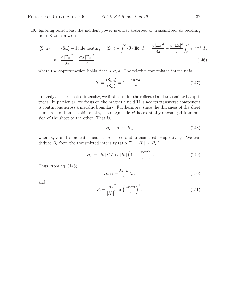10. Ignoring reflections, the incident power is either absorbed or transmitted, so recalling prob. 8 we can write

$$
\langle \mathbf{S}_{\text{out}} \rangle = \langle \mathbf{S}_{\text{in}} \rangle - \text{ Joule heating} = \langle \mathbf{S}_{\text{in}} \rangle - \int_0^a \langle \mathbf{J} \cdot \mathbf{E} \rangle dz = \frac{c |\mathbf{E}_0|^2}{8\pi} - \frac{\sigma |\mathbf{E}_0|^2}{2} \int_0^a e^{-2z/d} dz
$$

$$
\approx \frac{c |\mathbf{E}_0|^2}{8\pi} - \frac{\sigma a |\mathbf{E}_0|^2}{2}, \tag{146}
$$

where the approximation holds since  $a \ll d$ . The relative transmitted intensity is

$$
\mathcal{T} = \frac{\langle \mathbf{S}_{\text{out}} \rangle}{\langle \mathbf{S}_{\text{in}} \rangle} = 1 - \frac{4\pi\sigma a}{c} \,. \tag{147}
$$

To analyze the reflected intensity, we first consider the reflected and transmitted amplitudes. In particular, we focus on the magnetic field **H**, since its transverse component is continuous across a metallic boundary. Furthermore, since the thickness of the sheet is much less than the skin depth, the magnitude  $H$  is essentially unchanged from one side of the sheet to the other. That is,

$$
H_i + H_r \approx H_t,\tag{148}
$$

where  $i, r$  and  $t$  indicate incident, reflected and transmitted, respectively. We can deduce  $H_t$  from the transmitted intensity ratio  $\mathcal{T} = |H_t|^2 / |H_i|^2$ ,

$$
|H_t| = |H_i| \sqrt{T} \approx |H_i| \left( 1 - \frac{2\pi\sigma a}{c} \right) . \tag{149}
$$

Thus, from eq. (148)

$$
H_r \approx -\frac{2\pi\sigma a}{c} H_i,\tag{150}
$$

and

$$
\mathcal{R} = \frac{|H_r|^2}{|H_i|^2} \approx \left(\frac{2\pi\sigma a}{c}\right)^2.
$$
\n(151)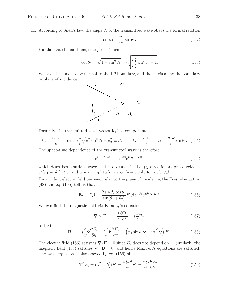11. According to Snell's law, the angle  $\theta_2$  of the transmitted wave obeys the formal relation

$$
\sin \theta_2 = \frac{n_1}{n_2} \sin \theta_1.
$$
\n(152)

For the stated conditions,  $\sin \theta_2 > 1$ . Then,

$$
\cos \theta_2 = \sqrt{1 - \sin^2 \theta_2} = i \sqrt{\frac{n_1^2}{n_2^2} \sin^2 \theta_1 - 1}.
$$
 (153)

We take the x axis to be normal to the 1-2 boundary, and the y axis along the boundary in plane of incidence.



Formally, the transmitted wave vector  $\mathbf{k}_t$  has components

$$
k_x = \frac{n_2 \omega}{c} \cos \theta_2 = i \frac{\omega}{c} \sqrt{n_1^2 \sin^2 \theta_1 - n_2^2} \equiv i\beta, \qquad k_y = \frac{n_2 \omega}{c} \sin \theta_2 = \frac{n_1 \omega}{c} \sin \theta_1. \tag{154}
$$

The space-time dependence of the transmitted wave is therefore

$$
e^{i(\mathbf{k}_t \cdot \mathbf{r} - \omega t)} = e^{-\beta x} e^{i(k_y y - \omega t)},
$$
\n(155)

which describes a surface wave that propagates in the  $+y$  direction at phase velocity  $c/(n_1 \sin \theta_1) < c$ , and whose amplitude is significant only for  $x \lesssim 1/\beta$ .

For incident electric field perpendicular to the plane of incidence, the Fresnel equation (48) and eq. (155) tell us that

$$
\mathbf{E}_t = E_t \hat{\mathbf{z}} = \frac{2 \sin \theta_2 \cos \theta_1}{\sin(\theta_1 + \theta_2)} E_{0i} \hat{\mathbf{z}} e^{-\beta x} e^{i(k_y y - \omega t)}.
$$
(156)

We can find the magnetic field via Faraday's equation:

$$
\nabla \times \mathbf{E}_t = -\frac{1}{c} \frac{\partial \mathbf{B}_t}{\partial t} = i \frac{\omega}{c} \mathbf{B}_t,
$$
\n(157)

so that

$$
\mathbf{B}_{t} = -i\frac{c}{\omega}\hat{\mathbf{x}}\frac{\partial E_{z}}{\partial y} + i\frac{c}{\omega}\hat{\mathbf{y}}\frac{\partial E_{z}}{\partial x} = \left(n_{1}\sin\theta_{1}\hat{\mathbf{x}} - i\beta\frac{c}{\omega}\hat{\mathbf{y}}\right)E_{t}.
$$
 (158)

The electric field (156) satisfies  $\nabla \cdot \mathbf{E} = 0$  since  $E_z$  does not depend on z. Similarly, the magnetic field (158) satisfies  $\nabla \cdot \mathbf{B} = 0$ , and hence Maxwell's equations are satisfied. The wave equation is also obeyed by eq. (156) since

$$
\nabla^2 E_t = (\beta^2 - k_y^2) E_t = \frac{n_2^2 \omega^2}{c^2} E_t = \frac{n_2^2}{c^2} \frac{\partial^2 E_t}{\partial t^2}.
$$
 (159)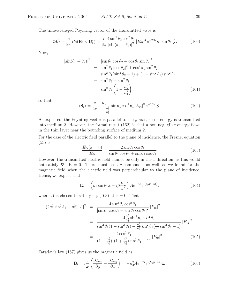The time-averaged Poynting vector of the transmitted wave is

$$
\langle \mathbf{S}_t \rangle = \frac{c}{8\pi} Re(\mathbf{E}_t \times \mathbf{B}_t^{\star}) = \frac{c}{8\pi} \frac{4 \sin^2 \theta_2 \cos^2 \theta_1}{\left| \sin(\theta_1 + \theta_2) \right|^2} \left| E_{0i} \right|^2 e^{-2\beta x} n_1 \sin \theta_1 \hat{\mathbf{y}}.
$$
 (160)

Now,

$$
\begin{aligned}\n|\sin(\theta_1 + \theta_2)|^2 &= |\sin \theta_1 \cos \theta_2 + \cos \theta_1 \sin \theta_2|^2 \\
&= \sin^2 \theta_1 |\cos \theta_2|^2 + \cos^2 \theta_1 \sin^2 \theta_2 \\
&= \sin^2 \theta_1 (\sin^2 \theta_2 - 1) + (1 - \sin^2 \theta_1) \sin^2 \theta_2 \\
&= \sin^2 \theta_2 - \sin^2 \theta_1 \\
&= \sin^2 \theta_2 \left( 1 - \frac{n_2^2}{n_1^2} \right),\n\end{aligned}
$$
\n(161)

so that

$$
\langle \mathbf{S}_t \rangle = \frac{c}{2\pi} \frac{n_1}{1 - \frac{n_2^2}{n_1^2}} \sin \theta_1 \cos^2 \theta_1 |E_{0i}|^2 e^{-2\beta x} \hat{\mathbf{y}}.
$$
 (162)

As expected, the Poynting vector is parallel to the  $y$  axis, so no energy is transmitted into medium 2. However, the formal result (162) is that a non-negligible energy flows in the thin layer near the bounding surface of medium 2.

For the case of the electric field parallel to the plane of incidence, the Fresnel equation (53) is

$$
\frac{E_{0t}(x=0)}{E_{0i}} = \frac{2\sin\theta_2\cos\theta_1}{\sin\theta_1\cos\theta_1 + \sin\theta_2\cos\theta_2}
$$
(163)

However, the transmitted electric field cannot be only in the  $x$  direction, as this would not satisfy  $\nabla \cdot \mathbf{E} = 0$ . There must be a y component as well, as we found for the magnetic field when the electric field was perpendicular to the plane of incidence. Hence, we expect that

$$
\mathbf{E}_{t} = \left(n_{1} \sin \theta_{1} \hat{\mathbf{x}} - i \beta \frac{c}{\omega} \hat{\mathbf{y}}\right) A e^{-\beta x} e^{i(k_{y} y - \omega t)}, \qquad (164)
$$

where A is chosen to satisfy eq. (163) at  $x = 0$ . That is,

$$
(2n_1^2 \sin^2 \theta_1 - n_2^2) |A|^2 = \frac{4 \sin^2 \theta_2 \cos^2 \theta_1}{|\sin \theta_1 \cos \theta_1 + \sin \theta_2 \cos \theta_2|^2} |E_{0i}|^2
$$
  

$$
= \frac{4 \frac{n_1^2}{n_2^2} \sin^2 \theta_1 \cos^2 \theta_1}{\sin^2 \theta_1 (1 - \sin^2 \theta_1) + \frac{n_1^2}{n_2^2} \sin^2 \theta_1 (\frac{n_1^2}{n_2^2} \sin^2 \theta_1 - 1)} |E_{0i}|^2
$$
  

$$
= \frac{4 \cos^2 \theta_1}{(1 - \frac{n_2^2}{n_1^2})((1 + \frac{n_1^2}{n_2^2}) \sin^2 \theta_1 - 1)} |E_{0i}|^2.
$$
 (165)

Faraday's law (157) gives us the magnetic field as

$$
\mathbf{B}_{t} = i \frac{c}{\omega} \left( \frac{\partial E_{tx}}{\partial y} - \frac{\partial E_{ty}}{\partial x} \right) = -n_2^2 A e^{-\beta x} e^{i(k_y y - \omega t)} \hat{\mathbf{z}}.
$$
 (166)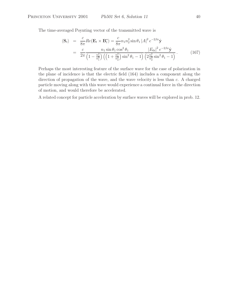The time-averaged Poynting vector of the transmitted wave is

$$
\langle \mathbf{S}_{t} \rangle = \frac{c}{8\pi} Re(\mathbf{E}_{t} \times \mathbf{B}_{t}^{*}) = \frac{c}{8\pi} n_{1} n_{2}^{2} \sin \theta_{1} |A|^{2} e^{-2\beta x} \hat{\mathbf{y}}
$$
  
= 
$$
\frac{c}{2\pi} \frac{n_{1} \sin \theta_{1} \cos^{2} \theta_{1}}{\left(1 - \frac{n_{2}^{2}}{n_{1}^{2}}\right) \left(\left(1 + \frac{n_{1}^{2}}{n_{2}^{2}}\right) \sin^{2} \theta_{1} - 1\right)} \frac{|E_{0i}|^{2} e^{-2\beta x} \hat{\mathbf{y}}}{\left(2 \frac{n_{1}^{2}}{n_{2}^{2}} \sin^{2} \theta_{1} - 1\right)} . \tag{167}
$$

Perhaps the most interesting feature of the surface wave for the case of polarization in the plane of incidence is that the electric field (164) includes a component along the direction of propagation of the wave, and the wave velocity is less than c. A charged particle moving along with this wave would experience a continual force in the direction of motion, and would therefore be accelerated.

A related concept for particle acceleration by surface waves will be explored in prob. 12.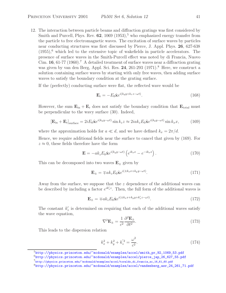12. The interaction between particle beams and diffraction gratings was first considered by Smith and Purcell, Phys. Rev.  $62$ ,  $1069$   $(1953)$ ,<sup>5</sup> who emphasized energy transfer from the particle to free electromagnetic waves. The excitation of surface waves by particles near conducting structures was first discussed by Pierce, J. Appl. Phys. **26**, 627-638  $(1955)$ , which led to the extensive topic of wakefields in particle accelerators. The presence of surface waves in the Smith-Purcell effect was noted by di Francia, Nuovo Cim. **16**, 61-77 (1960).<sup>7</sup> A detailed treatment of surface waves near a diffraction grating was given by van den Berg, Appl. Sci. Res. 24, 261-293 (1971).<sup>8</sup> Here, we construct a solution containing surface waves by starting with only free waves, then adding surface waves to satisfy the boundary condition at the grating surface.

If the (perfectly) conducting surface were flat, the reflected wave would be

$$
\mathbf{E}_{\mathbf{r}} = -E_0 \hat{\mathbf{x}} e^{i(k_y y + k_z z - \omega t)}.
$$
 (168)

However, the sum  $\mathbf{E}_{in} + \mathbf{E}_{r}$  does not satisfy the boundary condition that  $\mathbf{E}_{total}$  must be perpendicular to the wavy surface (30). Indeed,

$$
\left[\mathbf{E}_{\rm in} + \mathbf{E}_{\rm r}\right]_{\rm surface} = 2iE_0\hat{\mathbf{x}}e^{i(k_yy-\omega t)}\sin k_z z \approx 2iak_zE_0\hat{\mathbf{x}}e^{i(k_yy-\omega t)}\sin k_x x,\tag{169}
$$

where the approximation holds for  $a \ll d$ , and we have defined  $k_x = 2\pi/d$ .

Hence, we require additional fields near the surface to cancel that given by (169). For  $z \approx 0$ , these fields therefore have the form

$$
\mathbf{E} = -ak_z E_0 \hat{\mathbf{x}} e^{i(k_y y - \omega t)} \left( e^{ik_x x} - e^{-ik_x x} \right). \tag{170}
$$

This can be decomposed into two waves  $E_{+}$  given by

$$
\mathbf{E}_{\pm} = \mp ak_z E_0 \hat{\mathbf{x}} e^{i(\pm k_x x + k_y y - \omega t)}.
$$
 (171)

Away from the surface, we suppose that the  $z$  dependence of the additional waves can be described by including a factor  $e^{ik'_z z}$ . Then, the full form of the additional waves is

$$
\mathbf{E}_{\pm} = \mp ak_z E_0 \hat{\mathbf{x}} e^{i(\pm k_x x + k_y y + k_z' z - \omega t)}.
$$
 (172)

The constant  $k'_z$  is determined on requiring that each of the additional waves satisfy the wave equation,

$$
\nabla^2 \mathbf{E}_{\pm} = \frac{1}{c^2} \frac{\partial^2 \mathbf{E}_{\pm}}{\partial t^2}.
$$
 (173)

This leads to the dispersion relation

$$
k_x^2 + k_y^2 + k_z'^2 = \frac{\omega^2}{c^2}.
$$
\n(174)

<sup>5</sup>http://physics.princeton.edu/~mcdonald/examples/accel/smith\_pr\_92\_1069\_53.pdf

<sup>6</sup>http://physics.princeton.edu/~mcdonald/examples/accel/pierce\_jap\_26\_627\_55.pdf

 $^{7}$ http://physics.princeton.edu/~mcdonald/examples/accel/toraldo\_di\_francia\_nc\_16\_61\_60.pdf

<sup>8</sup>http://physics.princeton.edu/~mcdonald/examples/accel/vandenberg\_asr\_24\_261\_71.pdf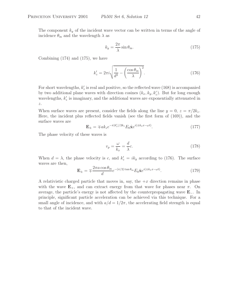The component  $k_y$  of the incident wave vector can be written in terms of the angle of incidence  $\theta_{\rm in}$  and the wavelength  $\lambda$  as

$$
k_y = \frac{2\pi}{\lambda} \sin \theta_{\text{in}}.\tag{175}
$$

Combining (174) and (175), we have

$$
k'_z = 2\pi i \sqrt{\frac{1}{d^2} - \left(\frac{\cos \theta_{\rm in}}{\lambda}\right)^2}.
$$
 (176)

For short wavelengths,  $k'_z$  is real and positive, so the reflected wave (168) is accompanied by two additional plane waves with direction cosines  $(k_x, k_y, k_z')$ . But for long enough wavelengths,  $k'_z$  is imaginary, and the additional waves are exponentially attenuated in  $z.$ 

When surface waves are present, consider the fields along the line  $y = 0$ ,  $z = \pi/2k_z$ . Here, the incident plus reflected fields vanish (see the first form of (169)), and the surface waves are

$$
\mathbf{E}_{\pm} = \mp ak_z e^{-\pi |k'_z|/2k_z} E_0 \hat{\mathbf{x}} e^{i(\pm k_x x - \omega t)}.
$$
 (177)

The phase velocity of these waves is

$$
v_p = \frac{\omega}{k_x} = \frac{d}{\lambda}c.\tag{178}
$$

When  $d = \lambda$ , the phase velocity is c, and  $k'_z = i k_y$  according to (176). The surface waves are then,

$$
\mathbf{E}_{\pm} = \mp \frac{2\pi a \cos \theta_{\text{in}}}{d} e^{-(\pi/2) \tan \theta_{\text{in}}} E_0 \hat{\mathbf{x}} e^{i(\pm k_x x - \omega t)}.
$$
 (179)

A relativistic charged particle that moves in, say, the  $+x$  direction remains in phase with the wave  $\mathbf{E}_{+}$ , and can extract energy from that wave for phases near  $\pi$ . On average, the particle's energy is not affected by the counterpropagating wave **E**−. In principle, significant particle acceleration can be achieved via this technique. For a small angle of incidence, and with  $a/d = 1/2\pi$ , the accelerating field strength is equal to that of the incident wave.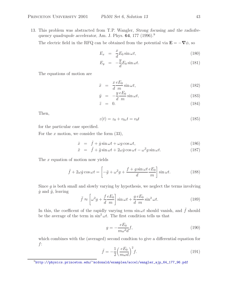13. This problem was abstracted from T.P. Wangler, *Strong focusing and the radiofrequency quadrupole accelerator*, Am. J. Phys. **64**, 177 (1996).<sup>9</sup>

The electric field in the RFQ can be obtained from the potential via  $\mathbf{E} = -\nabla \phi$ , so

$$
E_x = \frac{x}{d} E_0 \sin \omega t, \qquad (180)
$$

$$
E_y = -\frac{y}{d} E_0 \sin \omega t.
$$
 (181)

The equations of motion are

$$
\ddot{x} = \frac{x e E_0}{d m} \sin \omega t, \qquad (182)
$$

$$
\ddot{y} = -\frac{y}{d} \frac{eE_0}{m} \sin \omega t, \qquad (183)
$$

$$
\ddot{z} = 0. \tag{184}
$$

Then,

$$
z(t) = z_0 + v_{0z}t = v_0t
$$
\n(185)

for the particular case specified.

For the x motion, we consider the form  $(33)$ ,

$$
\dot{x} = \dot{f} + \dot{g}\sin\omega t + \omega g\cos\omega t,\tag{186}
$$

$$
\ddot{x} = \ddot{f} + \ddot{g}\sin\omega t + 2\omega\dot{g}\cos\omega t - \omega^2 g\sin\omega t.
$$
 (187)

The x equation of motion now yields

$$
\ddot{f} + 2\omega \dot{g} \cos \omega t = \left[ -\ddot{g} + \omega^2 g + \frac{f + g \sin \omega t}{d} \frac{eE_0}{m} \right] \sin \omega t.
$$
 (188)

Since  $g$  is both small and slowly varying by hypothesis, we neglect the terms involving  $\dot{g}$  and  $\ddot{g}$ , leaving

$$
\ddot{f} \approx \left[\omega^2 g + \frac{f}{d} \frac{eE_0}{m}\right] \sin \omega t + \frac{g}{d} \frac{eE_0}{m} \sin^2 \omega t.
$$
 (189)

In this, the coefficent of the rapidly varying term  $\sin \omega t$  should vanish, and  $\ddot{f}$  should be the average of the term in  $\sin^2 \omega t$ . The first condition tells us that

$$
g = -\frac{eE_0}{m\omega^2 d} f,\tag{190}
$$

which combines with the (averaged) second condtion to give a differential equation for f:

$$
\ddot{f} = -\frac{1}{2} \left(\frac{eE_0}{m\omega d}\right)^2 f. \tag{191}
$$

<sup>9</sup>http://physics.princeton.edu/~mcdonald/examples/accel/wangler\_ajp\_64\_177\_96.pdf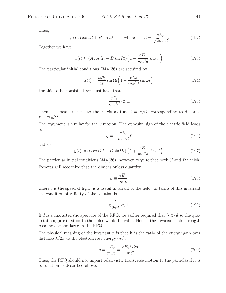Thus,

$$
f \approx A \cos \Omega t + B \sin \Omega t
$$
, where  $\Omega = \frac{eE_0}{\sqrt{2}m\omega d}$ . (192)

Together we have

$$
x(t) \approx (A\cos\Omega t + B\sin\Omega t)\left(1 - \frac{eE_0}{m\omega^2 d}\sin\omega t\right).
$$
 (193)

The particular initial conditions (34)-(36) are satisifed by

$$
x(t) \approx \frac{v_0 \theta_0}{\Omega} \sin \Omega t \left( 1 - \frac{eE_0}{m\omega^2 d} \sin \omega t \right).
$$
 (194)

For this to be consistent we must have that

$$
\frac{eE_0}{m\omega^2 d} \ll 1. \tag{195}
$$

Then, the beam returns to the z-axis at time  $t = \pi/\Omega$ , corresponding to distance  $z = \pi v_0/\Omega$ .

The argument is similar for the  $y$  motion. The opposite sign of the electric field leads to

$$
g = +\frac{eE_0}{m\omega^2 d}f,\tag{196}
$$

and so

$$
y(t) \approx (C\cos\Omega t + D\sin\Omega t) \left(1 + \frac{eE_0}{m\omega^2 d}\sin\omega t\right). \tag{197}
$$

The particular initial conditions  $(34)-(36)$ , however, require that both C and D vanish. Experts will recognize that the dimensionless quantity

$$
\eta \equiv \frac{eE_0}{m\omega c},\tag{198}
$$

where c is the speed of light, is a useful invariant of the field. In terms of this invariant the condition of validity of the solution is

$$
\eta \frac{\lambda}{2\pi d} \ll 1. \tag{199}
$$

If d is a characteristic aperture of the RFQ, we earlier required that  $\lambda \gg d$  so the quasistatic approximation to the fields would be valid. Hence, the invariant field strength  $\eta$  cannot be too large in the RFQ.

The physical meaning of the invariant  $\eta$  is that it is the ratio of the energy gain over distance  $\lambda/2\pi$  to the electron rest energy  $mc^2$ :

$$
\eta = \frac{eE_0}{m\omega c} = \frac{eE_0\lambda/2\pi}{mc^2}.
$$
\n(200)

Thus, the RFQ should not impart relativistic transverse motion to the particles if it is to function as described above.